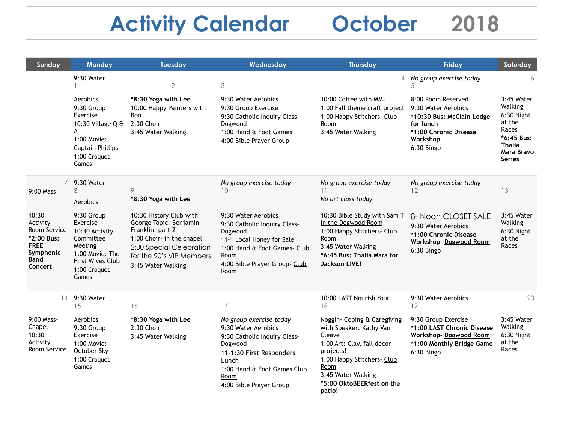## **Activity Calendar October 2018**

| Sunday                                                                                                                    | <b>Monday</b>                                                                                                                                                          | <b>Tuesday</b>                                                                                                                                                                                                | Wednesday                                                                                                                                                                                                                         | <b>Thursday</b>                                                                                                                                                                                                                                 | Friday                                                                                                                                                                 | Saturday                                                                                                                           |
|---------------------------------------------------------------------------------------------------------------------------|------------------------------------------------------------------------------------------------------------------------------------------------------------------------|---------------------------------------------------------------------------------------------------------------------------------------------------------------------------------------------------------------|-----------------------------------------------------------------------------------------------------------------------------------------------------------------------------------------------------------------------------------|-------------------------------------------------------------------------------------------------------------------------------------------------------------------------------------------------------------------------------------------------|------------------------------------------------------------------------------------------------------------------------------------------------------------------------|------------------------------------------------------------------------------------------------------------------------------------|
|                                                                                                                           | 9:30 Water<br>Aerobics<br>9:30 Group<br>Exercise<br>10:30 Village $Q$ &<br>A<br>1:00 Movie:<br>Captain Phillips<br>1:00 Croquet<br>Games                               | $\mathbf{2}$<br>*8:30 Yoga with Lee<br>10:00 Happy Painters with<br>Boo<br>$2:30$ Choir<br>3:45 Water Walking                                                                                                 | 3<br>9:30 Water Aerobics<br>9:30 Group Exercise<br>9:30 Catholic Inquiry Class-<br>Dogwood<br>1:00 Hand & Foot Games<br>4:00 Bible Prayer Group                                                                                   | $\overline{4}$<br>10:00 Coffee with MMJ<br>1:00 Fall theme craft project<br>1:00 Happy Stitchers- Club<br>Room<br>3:45 Water Walking                                                                                                            | No group exercise today<br>5<br>8:00 Room Reserved<br>9:30 Water Aerobics<br>*10:30 Bus: McClain Lodge<br>for lunch<br>*1:00 Chronic Disease<br>Workshop<br>6:30 Bingo | 6<br>3:45 Water<br>Walking<br>$6:30$ Night<br>at the<br>Races<br>*6:45 Bus:<br><b>Thalia</b><br><b>Mara Bravo</b><br><b>Series</b> |
| 7<br>$9:00$ Mass<br>10:30<br>Activity<br>Room Service<br>*2:00 Bus:<br><b>FREE</b><br>Symphonic<br><b>Band</b><br>Concert | 9:30 Water<br>8<br>Aerobics<br>9:30 Group<br>Exercise<br>10:30 Activity<br>Committee<br>Meeting<br>1:00 Movie: The<br><b>First Wives Club</b><br>1:00 Croquet<br>Games | 9<br>*8:30 Yoga with Lee<br>10:30 History Club with<br>George Topic: Benjamin<br>Franklin, part 2<br>1:00 Choir- in the chapel<br>2:00 Special Celebration<br>for the 90's VIP Members!<br>3:45 Water Walking | No group exercise today<br>10 <sup>2</sup><br>9:30 Water Aerobics<br>9:30 Catholic Inquiry Class-<br>Dogwood<br>11-1 Local Honey for Sale<br>1:00 Hand & Foot Games- Club<br>Room<br>4:00 Bible Prayer Group- Club<br><u>Room</u> | No group exercise today<br>11<br>No art class today<br>10:30 Bible Study with Sam T<br>in the Dogwood Room<br>1:00 Happy Stitchers- Club<br>Room<br>3:45 Water Walking<br>*6:45 Bus: Thalia Mara for<br><b>Jackson LIVE!</b>                    | No group exercise today<br>12<br>8- Noon CLOSET SALE<br>9:30 Water Aerobics<br>*1:00 Chronic Disease<br>Workshop-Dogwood Room<br>6:30 Bingo                            | 13<br>3:45 Water<br>Walking<br>6:30 Night<br>at the<br>Races                                                                       |
| 14<br>9:00 Mass-<br>Chapel<br>10:30<br>Activity<br>Room Service                                                           | 9:30 Water<br>15<br>Aerobics<br>9:30 Group<br>Exercise<br>1:00 Movie:<br>October Sky<br>1:00 Croquet<br>Games                                                          | 16<br>*8:30 Yoga with Lee<br>2:30 Choir<br>3:45 Water Walking                                                                                                                                                 | 17<br>No group exercise today<br>9:30 Water Aerobics<br>9:30 Catholic Inquiry Class-<br>Dogwood<br>11-1:30 First Responders<br>Lunch<br>1:00 Hand & Foot Games Club<br>Room<br>4:00 Bible Prayer Group                            | 10:00 LAST Nourish Your<br>18<br>Noggin- Coping & Caregiving<br>with Speaker: Kathy Van<br>Cleave<br>1:00 Art: Clay, fall décor<br>projects!<br>1:00 Happy Stitchers- Club<br>Room<br>3:45 Water Walking<br>*5:00 OktoBEERfest on the<br>patio! | 9:30 Water Aerobics<br>19<br>9:30 Group Exercise<br>*1:00 LAST Chronic Disease<br>Workshop-Dogwood Room<br>*1:00 Monthly Bridge Game<br>6:30 Bingo                     | 20<br>3:45 Water<br>Walking<br>6:30 Night<br>at the<br>Races                                                                       |